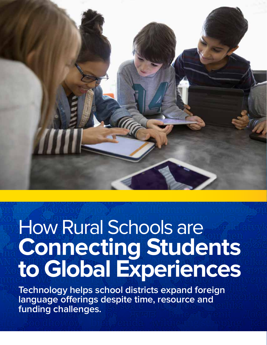

# How Rural Schools are **Connecting Students to Global Experiences**

**Technology helps school districts expand foreign language offerings despite time, resource and funding challenges.**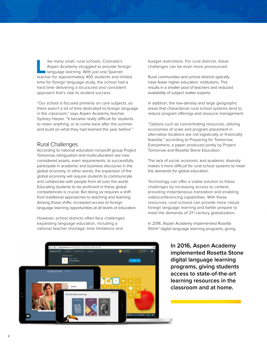**Like many small, rural schools, Colorado's**<br>Aspen Academy struggled to provide fore<br>Language learning. With just one Spanish<br>teacher for approximately 400 students and lin Aspen Academy struggled to provide foreign language learning. With just one Spanish teacher for approximately 400 students and limited time for foreign language study, the school had a hard time delivering a structured and consistent approach that's vital to student success.

"Our school is focused primarily on core subjects, so there wasn't a lot of time dedicated to foreign language in the classroom," says Aspen Academy teacher Sydney Harper. "It became really difficult for students to retain anything, or to come back after the summer and build on what they had learned the year before."

## Rural Challenges

According to national education nonprofit group Project Tomorrow, bilingualism and multiculturalism are now considered assets, even requirements, to successfully participate in academic and business discourse in the global economy. In other words, the expansion of the global economy will require students to communicate and collaborate with people from all over the world. Educating students to be proficient in these global competencies is crucial. But doing so requires a shift from traditional approaches to teaching and learning. Among those shifts: increased access to foreign language learning opportunities at all levels of education.

However, school districts often face challenges expanding language education, including a national teacher shortage, time limitations and

budget restrictions. For rural districts, these challenges can be even more pronounced.

Rural communities and school districts typically have fewer higher education institutions. This results in a smaller pool of teachers and reduced availability of subject matter experts.

In addition, the low-density and large geographic areas that characterize rural school systems tend to reduce program offerings and resource management.

"Options such as concentrating resources, utilizing economies of scale and program placement in alternative locations are not logistically or financially feasible," according to Preparing for Tomorrow, Everywhere, a paper produced jointly by Project Tomorrow and Rosetta Stone Education.

The lack of social, economic and academic diversity makes it more difficult for rural school systems to meet the demands for global education.

Technology can offer a viable solution to these challenges by increasing access to content, providing instantaneous translation and enabling videoconferencing capabilities. With these resources, rural schools can provide more robust foreign language learning and better prepare to meet the demands of 21<sup>st</sup>-century globalization.

In 2016, Aspen Academy implemented Rosetta Stone® digital language learning programs, giving

> **In 2016, Aspen Academy implemented Rosetta Stone digital language learning programs, giving students access to state-of-the-art learning resources in the classroom and at home.**

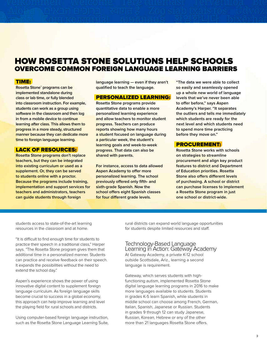## HOW ROSETTA STONE SOLUTIONS HELP SCHOOLS OVERCOME COMMON FOREIGN LANGUAGE LEARNING BARRIERS

#### TIME:

**Rosetta Stone® programs can be implemented standalone during class or lab time, or fully blended into classroom instruction. For example, students can work as a group using software in the classroom and then log in from a mobile device to continue learning after class. This allows them to progress in a more steady, structured manner because they can dedicate more time to foreign language learning.**

#### LACK OF RESOURCES:

**Rosetta Stone programs don't replace teachers, but they can be integrated into existing curriculum or used as a supplement. Or, they can be served to students online with a proctor. Because the programs include training, implementation and support services for teachers and administrators, teachers can guide students through foreign** 

**language learning — even if they aren't qualified to teach the language.**

#### PERSONALIZED LEARNING:

**Rosetta Stone programs provide quantitative data to enable a more personalized learning experience and allow teachers to monitor student progress. Teachers can produce reports showing how many hours a student focused on language during a particular week, the student's learning goals and week-to-week progress. That data can also be shared with parents.** 

**For instance, access to data allowed Aspen Academy to offer more personalized learning. The school previously offered only fifth- and sixth-grade Spanish. Now the school offers eight Spanish classes for four different grade levels.** 

**"The data we were able to collect so easily and seamlessly opened up a whole new world of language levels that we've never been able to offer before," says Aspen Academy's Harper. "It separates the outliers and tells me immediately which students are ready for the next level and which students need to spend more time practicing before they move on."**

#### PROCUREMENT:

**Rosetta Stone works with schools on strategies to streamline procurement and align key product features to district and Department of Education priorities. Rosetta Stone also offers different levels of purchasing. A school or district can purchase licenses to implement a Rosetta Stone program in just one school or district-wide.**

students access to state-of-the-art learning resources in the classroom and at home.

"It is difficult to find enough time for students to practice their speech in a traditional class," Harper says. "The Rosetta Stone program gives them that additional time in a personalized manner. Students can practice and receive feedback on their speech. It expands the possibilities without the need to extend the school day."

Aspen's experience shows the power of using innovative digital content to supplement foreign language curriculum. As foreign language skills become crucial to success in a global economy, this approach can help improve learning and level the playing field for rural schools and districts.

Using computer-based foreign language instruction, such as the Rosetta Stone Language Learning Suite, rural districts can expand world language opportunities for students despite limited resources and staff.

#### Technology-Based Language Learning in Action: Gateway Academy At Gateway Academy, a private K-12 school outside Scottsdale, Ariz., learning a second language is requirement.

Gateway, which serves students with highfunctioning autism, implemented Rosetta Stone digital language learning programs in 2016 to make more languages available to students. Students in grades K-5 learn Spanish, while students in middle school can choose among French, German, Italian, Spanish, Japanese or Russian. Students in grades 9 through 12 can study Japanese, Russian, Korean, Hebrew or any of the other more than 21 languages Rosetta Stone offers.